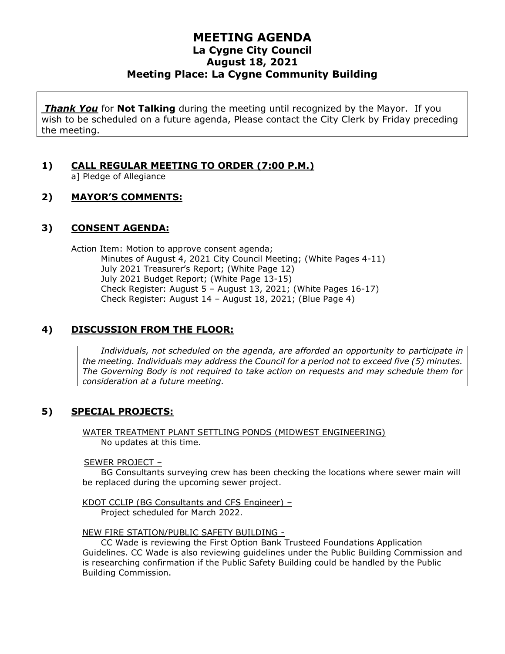# **MEETING AGENDA La Cygne City Council August 18, 2021 Meeting Place: La Cygne Community Building**

*Thank You* for **Not Talking** during the meeting until recognized by the Mayor. If you wish to be scheduled on a future agenda, Please contact the City Clerk by Friday preceding the meeting.

# **1) CALL REGULAR MEETING TO ORDER (7:00 P.M.)**

a] Pledge of Allegiance

## **2) MAYOR'S COMMENTS:**

#### **3) CONSENT AGENDA:**

Action Item: Motion to approve consent agenda; Minutes of August 4, 2021 City Council Meeting; (White Pages 4-11) July 2021 Treasurer's Report; (White Page 12) July 2021 Budget Report; (White Page 13-15) Check Register: August 5 – August 13, 2021; (White Pages 16-17) Check Register: August 14 – August 18, 2021; (Blue Page 4)

#### **4) DISCUSSION FROM THE FLOOR:**

*Individuals, not scheduled on the agenda, are afforded an opportunity to participate in the meeting. Individuals may address the Council for a period not to exceed five (5) minutes. The Governing Body is not required to take action on requests and may schedule them for consideration at a future meeting.*

# **5) SPECIAL PROJECTS:**

WATER TREATMENT PLANT SETTLING PONDS (MIDWEST ENGINEERING) No updates at this time.

#### SEWER PROJECT –

BG Consultants surveying crew has been checking the locations where sewer main will be replaced during the upcoming sewer project.

KDOT CCLIP (BG Consultants and CFS Engineer) – Project scheduled for March 2022.

NEW FIRE STATION/PUBLIC SAFETY BUILDING -

CC Wade is reviewing the First Option Bank Trusteed Foundations Application Guidelines. CC Wade is also reviewing guidelines under the Public Building Commission and is researching confirmation if the Public Safety Building could be handled by the Public Building Commission.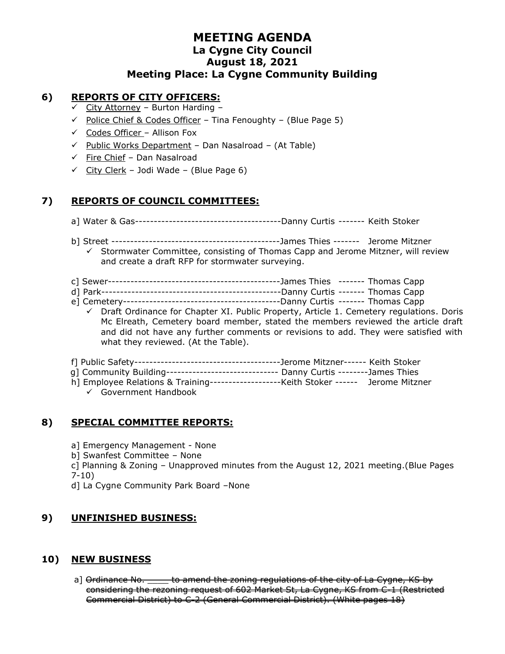# **MEETING AGENDA La Cygne City Council August 18, 2021 Meeting Place: La Cygne Community Building**

#### **6) REPORTS OF CITY OFFICERS:**

- $\checkmark$  City Attorney Burton Harding -
- $\checkmark$  Police Chief & Codes Officer Tina Fenoughty (Blue Page 5)
- $\checkmark$  Codes Officer Allison Fox
- ✓ Public Works Department Dan Nasalroad (At Table)
- $\checkmark$  Fire Chief Dan Nasalroad
- $\checkmark$  City Clerk Jodi Wade (Blue Page 6)

## **7) REPORTS OF COUNCIL COMMITTEES:**

- a] Water & Gas---------------------------------------Danny Curtis ------- Keith Stoker
- b] Street ---------------------------------------------James Thies ------- Jerome Mitzner
- $\checkmark$  Stormwater Committee, consisting of Thomas Capp and Jerome Mitzner, will review and create a draft RFP for stormwater surveying.
- c] Sewer----------------------------------------------James Thies ------- Thomas Capp
- d] Park------------------------------------------------Danny Curtis ------- Thomas Capp
- e] Cemetery------------------------------------------Danny Curtis ------- Thomas Capp
	- $\checkmark$  Draft Ordinance for Chapter XI. Public Property, Article 1. Cemetery regulations. Doris Mc Elreath, Cemetery board member, stated the members reviewed the article draft and did not have any further comments or revisions to add. They were satisfied with what they reviewed. (At the Table).
- f] Public Safety---------------------------------------Jerome Mitzner------ Keith Stoker
- g] Community Building------------------------------ Danny Curtis --------James Thies
- h] Employee Relations & Training-------------------Keith Stoker ------ Jerome Mitzner
	- ✓ Government Handbook

# **8) SPECIAL COMMITTEE REPORTS:**

- a] Emergency Management None
- b] Swanfest Committee None
- c] Planning & Zoning Unapproved minutes from the August 12, 2021 meeting.(Blue Pages 7-10)
- d] La Cygne Community Park Board –None

#### **9) UNFINISHED BUSINESS:**

#### **10) NEW BUSINESS**

a] <del>Ordinance No. \_\_\_\_\_ to amend the zoning regulations of the city of La Cygne, KS by</del> considering the rezoning request of 602 Market St, La Cygne, KS from C-1 (Restricted Commercial District) to C-2 (General Commercial District). (White pages 18)